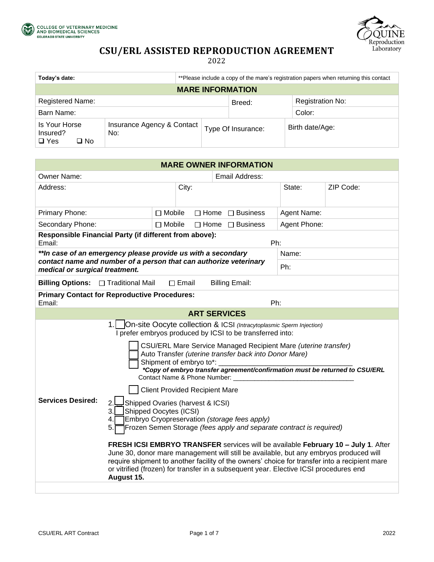





# **CSU/ERL ASSISTED REPRODUCTION AGREEMENT**

2022

| Today's date:                                                                          | **Please include a copy of the mare's registration papers when returning this contact |                    |                  |  |  |  |
|----------------------------------------------------------------------------------------|---------------------------------------------------------------------------------------|--------------------|------------------|--|--|--|
| <b>MARE INFORMATION</b>                                                                |                                                                                       |                    |                  |  |  |  |
| <b>Registered Name:</b>                                                                |                                                                                       | Breed:             | Registration No: |  |  |  |
| Barn Name:                                                                             |                                                                                       |                    | Color:           |  |  |  |
| Is Your Horse<br>Insurance Agency & Contact<br>Insured?<br>No:<br>$\Box$ Yes<br>ו ∐ No |                                                                                       | Type Of Insurance: | Birth date/Age:  |  |  |  |

| <b>MARE OWNER INFORMATION</b>                                                                                                                                                                                                                                                                                                                                                                                                                                                                                                                                                                                                                                                                                                                                                                                                                                                                                                                                                                                                                                                  |                                                 |                     |                 |              |           |  |
|--------------------------------------------------------------------------------------------------------------------------------------------------------------------------------------------------------------------------------------------------------------------------------------------------------------------------------------------------------------------------------------------------------------------------------------------------------------------------------------------------------------------------------------------------------------------------------------------------------------------------------------------------------------------------------------------------------------------------------------------------------------------------------------------------------------------------------------------------------------------------------------------------------------------------------------------------------------------------------------------------------------------------------------------------------------------------------|-------------------------------------------------|---------------------|-----------------|--------------|-----------|--|
| <b>Owner Name:</b>                                                                                                                                                                                                                                                                                                                                                                                                                                                                                                                                                                                                                                                                                                                                                                                                                                                                                                                                                                                                                                                             | Email Address:                                  |                     |                 |              |           |  |
| Address:                                                                                                                                                                                                                                                                                                                                                                                                                                                                                                                                                                                                                                                                                                                                                                                                                                                                                                                                                                                                                                                                       | City:                                           |                     |                 | State:       | ZIP Code: |  |
| Primary Phone:                                                                                                                                                                                                                                                                                                                                                                                                                                                                                                                                                                                                                                                                                                                                                                                                                                                                                                                                                                                                                                                                 | $\Box$ Mobile<br>$\Box$ Home<br>$\Box$ Business |                     |                 | Agent Name:  |           |  |
| Secondary Phone:                                                                                                                                                                                                                                                                                                                                                                                                                                                                                                                                                                                                                                                                                                                                                                                                                                                                                                                                                                                                                                                               | $\Box$ Mobile                                   | $\Box$ Home         | $\Box$ Business | Agent Phone: |           |  |
| Responsible Financial Party (if different from above):<br>Email:                                                                                                                                                                                                                                                                                                                                                                                                                                                                                                                                                                                                                                                                                                                                                                                                                                                                                                                                                                                                               |                                                 |                     | Ph:             |              |           |  |
| **In case of an emergency please provide us with a secondary<br>contact name and number of a person that can authorize veterinary<br>medical or surgical treatment.                                                                                                                                                                                                                                                                                                                                                                                                                                                                                                                                                                                                                                                                                                                                                                                                                                                                                                            |                                                 |                     | Name:           |              |           |  |
|                                                                                                                                                                                                                                                                                                                                                                                                                                                                                                                                                                                                                                                                                                                                                                                                                                                                                                                                                                                                                                                                                |                                                 |                     | Ph:             |              |           |  |
| <b>Billing Email:</b><br><b>Billing Options:</b><br>$\Box$ Traditional Mail<br>$\Box$ Email                                                                                                                                                                                                                                                                                                                                                                                                                                                                                                                                                                                                                                                                                                                                                                                                                                                                                                                                                                                    |                                                 |                     |                 |              |           |  |
| <b>Primary Contact for Reproductive Procedures:</b><br>Email:<br>Ph:                                                                                                                                                                                                                                                                                                                                                                                                                                                                                                                                                                                                                                                                                                                                                                                                                                                                                                                                                                                                           |                                                 |                     |                 |              |           |  |
|                                                                                                                                                                                                                                                                                                                                                                                                                                                                                                                                                                                                                                                                                                                                                                                                                                                                                                                                                                                                                                                                                |                                                 | <b>ART SERVICES</b> |                 |              |           |  |
| 1.<br>On-site Oocyte collection & ICSI (Intracytoplasmic Sperm Injection)<br>I prefer embryos produced by ICSI to be transferred into:<br>CSU/ERL Mare Service Managed Recipient Mare (uterine transfer)<br>Auto Transfer (uterine transfer back into Donor Mare)<br>Shipment of embryo to*:<br>*Copy of embryo transfer agreement/confirmation must be returned to CSU/ERL<br>Contact Name & Phone Number:<br><b>Client Provided Recipient Mare</b><br><b>Services Desired:</b><br>Shipped Ovaries (harvest & ICSI)<br>Shipped Oocytes (ICSI)<br>3.1<br>Embryo Cryopreservation (storage fees apply)<br>4.<br>Frozen Semen Storage (fees apply and separate contract is required)<br>5.<br>FRESH ICSI EMBRYO TRANSFER services will be available February 10 - July 1. After<br>June 30, donor mare management will still be available, but any embryos produced will<br>require shipment to another facility of the owners' choice for transfer into a recipient mare<br>or vitrified (frozen) for transfer in a subsequent year. Elective ICSI procedures end<br>August 15. |                                                 |                     |                 |              |           |  |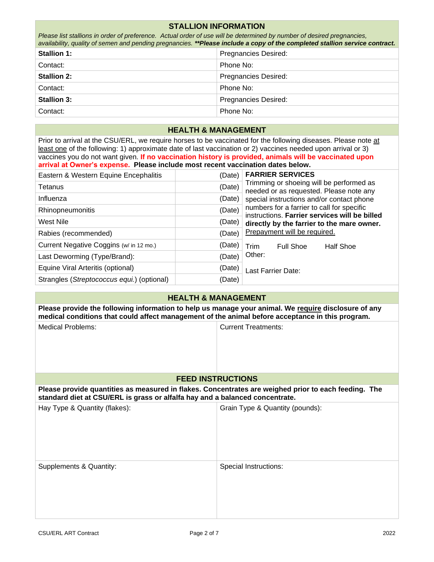| <b>STALLION INFORMATION</b>                                                                                                                                                                                                                                                                                                                                                                                                 |                                |                            |                                                                                                                             |  |  |  |
|-----------------------------------------------------------------------------------------------------------------------------------------------------------------------------------------------------------------------------------------------------------------------------------------------------------------------------------------------------------------------------------------------------------------------------|--------------------------------|----------------------------|-----------------------------------------------------------------------------------------------------------------------------|--|--|--|
| Please list stallions in order of preference. Actual order of use will be determined by number of desired pregnancies,                                                                                                                                                                                                                                                                                                      |                                |                            | availability, quality of semen and pending pregnancies. **Please include a copy of the completed stallion service contract. |  |  |  |
| <b>Stallion 1:</b>                                                                                                                                                                                                                                                                                                                                                                                                          |                                |                            | <b>Pregnancies Desired:</b>                                                                                                 |  |  |  |
| Contact:                                                                                                                                                                                                                                                                                                                                                                                                                    |                                | Phone No:                  |                                                                                                                             |  |  |  |
| <b>Stallion 2:</b>                                                                                                                                                                                                                                                                                                                                                                                                          |                                | Pregnancies Desired:       |                                                                                                                             |  |  |  |
| Contact:                                                                                                                                                                                                                                                                                                                                                                                                                    |                                | Phone No:                  |                                                                                                                             |  |  |  |
| <b>Stallion 3:</b>                                                                                                                                                                                                                                                                                                                                                                                                          |                                |                            | Pregnancies Desired:                                                                                                        |  |  |  |
| Contact:                                                                                                                                                                                                                                                                                                                                                                                                                    |                                | Phone No:                  |                                                                                                                             |  |  |  |
| <b>HEALTH &amp; MANAGEMENT</b>                                                                                                                                                                                                                                                                                                                                                                                              |                                |                            |                                                                                                                             |  |  |  |
| Prior to arrival at the CSU/ERL, we require horses to be vaccinated for the following diseases. Please note at<br>least one of the following: 1) approximate date of last vaccination or 2) vaccines needed upon arrival or 3)<br>vaccines you do not want given. If no vaccination history is provided, animals will be vaccinated upon<br>arrival at Owner's expense. Please include most recent vaccination dates below. |                                |                            |                                                                                                                             |  |  |  |
| Eastern & Western Equine Encephalitis                                                                                                                                                                                                                                                                                                                                                                                       |                                | (Date)                     | <b>FARRIER SERVICES</b>                                                                                                     |  |  |  |
| Tetanus                                                                                                                                                                                                                                                                                                                                                                                                                     |                                | (Date)                     | Trimming or shoeing will be performed as<br>needed or as requested. Please note any                                         |  |  |  |
| Influenza                                                                                                                                                                                                                                                                                                                                                                                                                   |                                | (Date)                     | special instructions and/or contact phone                                                                                   |  |  |  |
| Rhinopneumonitis                                                                                                                                                                                                                                                                                                                                                                                                            |                                | (Date)                     | numbers for a farrier to call for specific<br>instructions. Farrier services will be billed                                 |  |  |  |
| <b>West Nile</b>                                                                                                                                                                                                                                                                                                                                                                                                            |                                | (Date)                     | directly by the farrier to the mare owner.                                                                                  |  |  |  |
| Rabies (recommended)                                                                                                                                                                                                                                                                                                                                                                                                        |                                | (Date)                     | Prepayment will be required.                                                                                                |  |  |  |
| Current Negative Coggins (w/ in 12 mo.)                                                                                                                                                                                                                                                                                                                                                                                     |                                | (Date)                     | <b>Full Shoe</b><br><b>Half Shoe</b><br>Trim                                                                                |  |  |  |
| Last Deworming (Type/Brand):                                                                                                                                                                                                                                                                                                                                                                                                |                                | (Date)                     | Other:                                                                                                                      |  |  |  |
| Equine Viral Arteritis (optional)                                                                                                                                                                                                                                                                                                                                                                                           |                                | (Date)                     | Last Farrier Date:                                                                                                          |  |  |  |
| Strangles (Streptococcus equi.) (optional)                                                                                                                                                                                                                                                                                                                                                                                  |                                | (Date)                     |                                                                                                                             |  |  |  |
|                                                                                                                                                                                                                                                                                                                                                                                                                             | <b>HEALTH &amp; MANAGEMENT</b> |                            |                                                                                                                             |  |  |  |
|                                                                                                                                                                                                                                                                                                                                                                                                                             |                                |                            | Please provide the following information to help us manage your animal. We require disclosure of any                        |  |  |  |
| medical conditions that could affect management of the animal before acceptance in this program.                                                                                                                                                                                                                                                                                                                            |                                |                            |                                                                                                                             |  |  |  |
| <b>Medical Problems:</b>                                                                                                                                                                                                                                                                                                                                                                                                    |                                | <b>Current Treatments:</b> |                                                                                                                             |  |  |  |
|                                                                                                                                                                                                                                                                                                                                                                                                                             |                                |                            |                                                                                                                             |  |  |  |
|                                                                                                                                                                                                                                                                                                                                                                                                                             |                                |                            |                                                                                                                             |  |  |  |
|                                                                                                                                                                                                                                                                                                                                                                                                                             |                                |                            |                                                                                                                             |  |  |  |
|                                                                                                                                                                                                                                                                                                                                                                                                                             | <b>FEED INSTRUCTIONS</b>       |                            |                                                                                                                             |  |  |  |
| Please provide quantities as measured in flakes. Concentrates are weighed prior to each feeding. The<br>standard diet at CSU/ERL is grass or alfalfa hay and a balanced concentrate.                                                                                                                                                                                                                                        |                                |                            |                                                                                                                             |  |  |  |
| Hay Type & Quantity (flakes):                                                                                                                                                                                                                                                                                                                                                                                               |                                |                            | Grain Type & Quantity (pounds):                                                                                             |  |  |  |
| Supplements & Quantity:                                                                                                                                                                                                                                                                                                                                                                                                     |                                |                            | Special Instructions:                                                                                                       |  |  |  |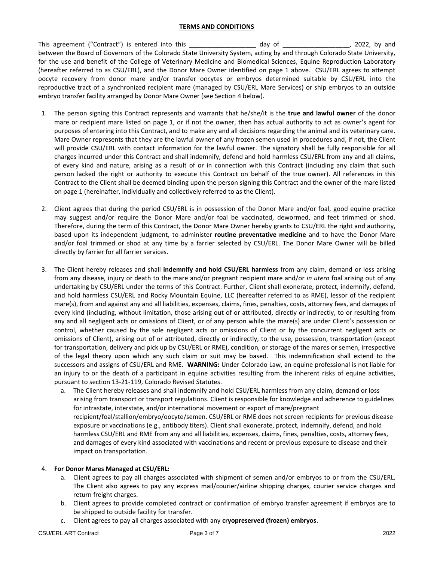#### **TERMS AND CONDITIONS**

This agreement ("Contract") is entered into this \_\_\_\_\_\_\_\_\_\_\_\_\_\_\_\_\_\_\_ day of  $\qquad \qquad$  , 2022, by and between the Board of Governors of the Colorado State University System, acting by and through Colorado State University, for the use and benefit of the College of Veterinary Medicine and Biomedical Sciences, Equine Reproduction Laboratory (hereafter referred to as CSU/ERL), and the Donor Mare Owner identified on page 1 above. CSU/ERL agrees to attempt oocyte recovery from donor mare and/or transfer oocytes or embryos determined suitable by CSU/ERL into the reproductive tract of a synchronized recipient mare (managed by CSU/ERL Mare Services) or ship embryos to an outside embryo transfer facility arranged by Donor Mare Owner (see Section 4 below).

- 1. The person signing this Contract represents and warrants that he/she/it is the **true and lawful owner** of the donor mare or recipient mare listed on page 1, or if not the owner, then has actual authority to act as owner's agent for purposes of entering into this Contract, and to make any and all decisions regarding the animal and its veterinary care. Mare Owner represents that they are the lawful owner of any frozen semen used in procedures and, if not, the Client will provide CSU/ERL with contact information for the lawful owner. The signatory shall be fully responsible for all charges incurred under this Contract and shall indemnify, defend and hold harmless CSU/ERL from any and all claims, of every kind and nature, arising as a result of or in connection with this Contract (including any claim that such person lacked the right or authority to execute this Contract on behalf of the true owner). All references in this Contract to the Client shall be deemed binding upon the person signing this Contract and the owner of the mare listed on page 1 (hereinafter, individually and collectively referred to as the Client).
- 2. Client agrees that during the period CSU/ERL is in possession of the Donor Mare and/or foal, good equine practice may suggest and/or require the Donor Mare and/or foal be vaccinated, dewormed, and feet trimmed or shod. Therefore, during the term of this Contract, the Donor Mare Owner hereby grants to CSU/ERL the right and authority, based upon its independent judgment, to administer **routine preventative medicine** and to have the Donor Mare and/or foal trimmed or shod at any time by a farrier selected by CSU/ERL. The Donor Mare Owner will be billed directly by farrier for all farrier services.
- 3. The Client hereby releases and shall **indemnify and hold CSU/ERL harmless** from any claim, demand or loss arising from any disease, injury or death to the mare and/or pregnant recipient mare and/or *in utero* foal arising out of any undertaking by CSU/ERL under the terms of this Contract. Further, Client shall exonerate, protect, indemnify, defend, and hold harmless CSU/ERL and Rocky Mountain Equine, LLC (hereafter referred to as RME), lessor of the recipient mare(s), from and against any and all liabilities, expenses, claims, fines, penalties, costs, attorney fees, and damages of every kind (including, without limitation, those arising out of or attributed, directly or indirectly, to or resulting from any and all negligent acts or omissions of Client, or of any person while the mare(s) are under Client's possession or control, whether caused by the sole negligent acts or omissions of Client or by the concurrent negligent acts or omissions of Client), arising out of or attributed, directly or indirectly, to the use, possession, transportation (except for transportation, delivery and pick up by CSU/ERL or RME), condition, or storage of the mares or semen, irrespective of the legal theory upon which any such claim or suit may be based. This indemnification shall extend to the successors and assigns of CSU/ERL and RME. **WARNING:** Under Colorado Law, an equine professional is not liable for an injury to or the death of a participant in equine activities resulting from the inherent risks of equine activities, pursuant to section 13-21-119, Colorado Revised Statutes.
	- a. The Client hereby releases and shall indemnify and hold CSU/ERL harmless from any claim, demand or loss arising from transport or transport regulations. Client is responsible for knowledge and adherence to guidelines for intrastate, interstate, and/or international movement or export of mare/pregnant recipient/foal/stallion/embryo/oocyte/semen. CSU/ERL or RME does not screen recipients for previous disease exposure or vaccinations (e.g., antibody titers). Client shall exonerate, protect, indemnify, defend, and hold harmless CSU/ERL and RME from any and all liabilities, expenses, claims, fines, penalties, costs, attorney fees, and damages of every kind associated with vaccinations and recent or previous exposure to disease and their impact on transportation.

### 4. **For Donor Mares Managed at CSU/ERL:**

- a. Client agrees to pay all charges associated with shipment of semen and/or embryos to or from the CSU/ERL. The Client also agrees to pay any express mail/courier/airline shipping charges, courier service charges and return freight charges.
- b. Client agrees to provide completed contract or confirmation of embryo transfer agreement if embryos are to be shipped to outside facility for transfer.
- c. Client agrees to pay all charges associated with any **cryopreserved (frozen) embryos**.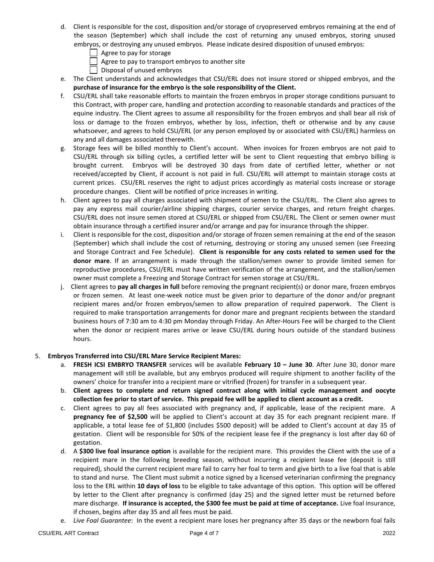- d. Client is responsible for the cost, disposition and/or storage of cryopreserved embryos remaining at the end of the season (September) which shall include the cost of returning any unused embryos, storing unused embryos, or destroying any unused embryos. Please indicate desired disposition of unused embryos:
	- Agree to pay for storage
	- $\vert \ \vert$  Agree to pay to transport embryos to another site
	- Disposal of unused embryos
- e. The Client understands and acknowledges that CSU/ERL does not insure stored or shipped embryos, and the **purchase of insurance for the embryo is the sole responsibility of the Client.**
- f. CSU/ERL shall take reasonable efforts to maintain the frozen embryos in proper storage conditions pursuant to this Contract, with proper care, handling and protection according to reasonable standards and practices of the equine industry. The Client agrees to assume all responsibility for the frozen embryos and shall bear all risk of loss or damage to the frozen embryos, whether by loss, infection, theft or otherwise and by any cause whatsoever, and agrees to hold CSU/ERL (or any person employed by or associated with CSU/ERL) harmless on any and all damages associated therewith.
- g. Storage fees will be billed monthly to Client's account. When invoices for frozen embryos are not paid to CSU/ERL through six billing cycles, a certified letter will be sent to Client requesting that embryo billing is brought current. Embryos will be destroyed 30 days from date of certified letter, whether or not received/accepted by Client, if account is not paid in full. CSU/ERL will attempt to maintain storage costs at current prices. CSU/ERL reserves the right to adjust prices accordingly as material costs increase or storage procedure changes. Client will be notified of price increases in writing.
- h. Client agrees to pay all charges associated with shipment of semen to the CSU/ERL. The Client also agrees to pay any express mail courier/airline shipping charges, courier service charges, and return freight charges. CSU/ERL does not insure semen stored at CSU/ERL or shipped from CSU/ERL. The Client or semen owner must obtain insurance through a certified insurer and/or arrange and pay for insurance through the shipper.
- i. Client is responsible for the cost, disposition and/or storage of frozen semen remaining at the end of the season (September) which shall include the cost of returning, destroying or storing any unused semen (see Freezing and Storage Contract and Fee Schedule). **Client is responsible for any costs related to semen used for the donor mare**. If an arrangement is made through the stallion/semen owner to provide limited semen for reproductive procedures, CSU/ERL must have written verification of the arrangement, and the stallion/semen owner must complete a Freezing and Storage Contract for semen storage at CSU/ERL.
- j. Client agrees to **pay all charges in full** before removing the pregnant recipient(s) or donor mare, frozen embryos or frozen semen. At least one-week notice must be given prior to departure of the donor and/or pregnant recipient mares and/or frozen embryos/semen to allow preparation of required paperwork. The Client is required to make transportation arrangements for donor mare and pregnant recipients between the standard business hours of 7:30 am to 4:30 pm Monday through Friday. An After-Hours Fee will be charged to the Client when the donor or recipient mares arrive or leave CSU/ERL during hours outside of the standard business hours.

### 5. **Embryos Transferred into CSU/ERL Mare Service Recipient Mares:**

- a. **FRESH ICSI EMBRYO TRANSFER** services will be available **February 10 – June 30**. After June 30, donor mare management will still be available, but any embryos produced will require shipment to another facility of the owners' choice for transfer into a recipient mare or vitrified (frozen) for transfer in a subsequent year.
- b. **Client agrees to complete and return signed contract along with initial cycle management and oocyte collection fee prior to start of service. This prepaid fee will be applied to client account as a credit.**
- c. Client agrees to pay all fees associated with pregnancy and, if applicable, lease of the recipient mare. A **pregnancy fee of \$2,500** will be applied to Client's account at day 35 for each pregnant recipient mare. If applicable, a total lease fee of \$1,800 (includes \$500 deposit) will be added to Client's account at day 35 of gestation. Client will be responsible for 50% of the recipient lease fee if the pregnancy is lost after day 60 of gestation.
- d. A **\$300 live foal insurance option** is available for the recipient mare. This provides the Client with the use of a recipient mare in the following breeding season, without incurring a recipient lease fee (deposit is still required), should the current recipient mare fail to carry her foal to term and give birth to a live foal that is able to stand and nurse. The Client must submit a notice signed by a licensed veterinarian confirming the pregnancy loss to the ERL within **10 days of loss** to be eligible to take advantage of this option. This option will be offered by letter to the Client after pregnancy is confirmed (day 25) and the signed letter must be returned before mare discharge. **If insurance is accepted, the \$300 fee must be paid at time of acceptance.** Live foal insurance, if chosen, begins after day 35 and all fees must be paid.
- e. *Live Foal Guarantee*: In the event a recipient mare loses her pregnancy after 35 days or the newborn foal fails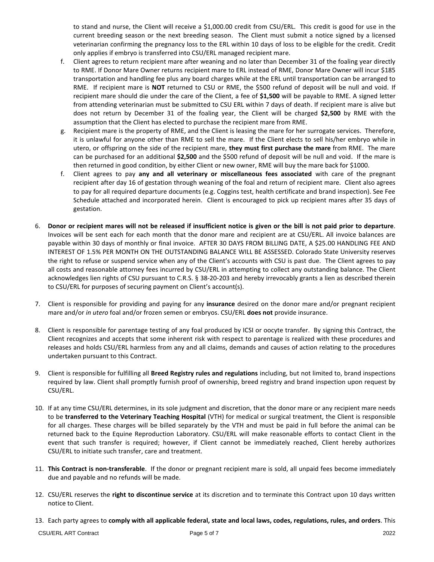to stand and nurse, the Client will receive a \$1,000.00 credit from CSU/ERL. This credit is good for use in the current breeding season or the next breeding season. The Client must submit a notice signed by a licensed veterinarian confirming the pregnancy loss to the ERL within 10 days of loss to be eligible for the credit. Credit only applies if embryo is transferred into CSU/ERL managed recipient mare.

- f. Client agrees to return recipient mare after weaning and no later than December 31 of the foaling year directly to RME. If Donor Mare Owner returns recipient mare to ERL instead of RME, Donor Mare Owner will incur \$185 transportation and handling fee plus any board charges while at the ERL until transportation can be arranged to RME. If recipient mare is **NOT** returned to CSU or RME, the \$500 refund of deposit will be null and void. If recipient mare should die under the care of the Client, a fee of **\$1,500** will be payable to RME. A signed letter from attending veterinarian must be submitted to CSU ERL within 7 days of death. If recipient mare is alive but does not return by December 31 of the foaling year, the Client will be charged **\$2,500** by RME with the assumption that the Client has elected to purchase the recipient mare from RME.
- g. Recipient mare is the property of RME, and the Client is leasing the mare for her surrogate services. Therefore, it is unlawful for anyone other than RME to sell the mare. If the Client elects to sell his/her embryo while in utero, or offspring on the side of the recipient mare, **they must first purchase the mare** from RME. The mare can be purchased for an additional **\$2,500** and the \$500 refund of deposit will be null and void. If the mare is then returned in good condition, by either Client or new owner, RME will buy the mare back for \$1000.
- f. Client agrees to pay **any and all veterinary or miscellaneous fees associated** with care of the pregnant recipient after day 16 of gestation through weaning of the foal and return of recipient mare. Client also agrees to pay for all required departure documents (e.g. Coggins test, health certificate and brand inspection). See Fee Schedule attached and incorporated herein. Client is encouraged to pick up recipient mares after 35 days of gestation.
- 6. **Donor or recipient mares will not be released if insufficient notice is given or the bill is not paid prior to departure**. Invoices will be sent each for each month that the donor mare and recipient are at CSU/ERL. All invoice balances are payable within 30 days of monthly or final invoice. AFTER 30 DAYS FROM BILLING DATE, A \$25.00 HANDLING FEE AND INTEREST OF 1.5% PER MONTH ON THE OUTSTANDING BALANCE WILL BE ASSESSED. Colorado State University reserves the right to refuse or suspend service when any of the Client's accounts with CSU is past due. The Client agrees to pay all costs and reasonable attorney fees incurred by CSU/ERL in attempting to collect any outstanding balance. The Client acknowledges lien rights of CSU pursuant to C.R.S. § 38-20-203 and hereby irrevocably grants a lien as described therein to CSU/ERL for purposes of securing payment on Client's account(s).
- 7. Client is responsible for providing and paying for any **insurance** desired on the donor mare and/or pregnant recipient mare and/or *in utero* foal and/or frozen semen or embryos. CSU/ERL **does not** provide insurance.
- 8. Client is responsible for parentage testing of any foal produced by ICSI or oocyte transfer. By signing this Contract, the Client recognizes and accepts that some inherent risk with respect to parentage is realized with these procedures and releases and holds CSU/ERL harmless from any and all claims, demands and causes of action relating to the procedures undertaken pursuant to this Contract.
- 9. Client is responsible for fulfilling all **Breed Registry rules and regulations** including, but not limited to, brand inspections required by law. Client shall promptly furnish proof of ownership, breed registry and brand inspection upon request by CSU/ERL.
- 10. If at any time CSU/ERL determines, in its sole judgment and discretion, that the donor mare or any recipient mare needs to be **transferred to the Veterinary Teaching Hospital** (VTH) for medical or surgical treatment, the Client is responsible for all charges. These charges will be billed separately by the VTH and must be paid in full before the animal can be returned back to the Equine Reproduction Laboratory. CSU/ERL will make reasonable efforts to contact Client in the event that such transfer is required; however, if Client cannot be immediately reached, Client hereby authorizes CSU/ERL to initiate such transfer, care and treatment.
- 11. **This Contract is non-transferable**. If the donor or pregnant recipient mare is sold, all unpaid fees become immediately due and payable and no refunds will be made.
- 12. CSU/ERL reserves the **right to discontinue service** at its discretion and to terminate this Contract upon 10 days written notice to Client.
- 13. Each party agrees to **comply with all applicable federal, state and local laws, codes, regulations, rules, and orders**. This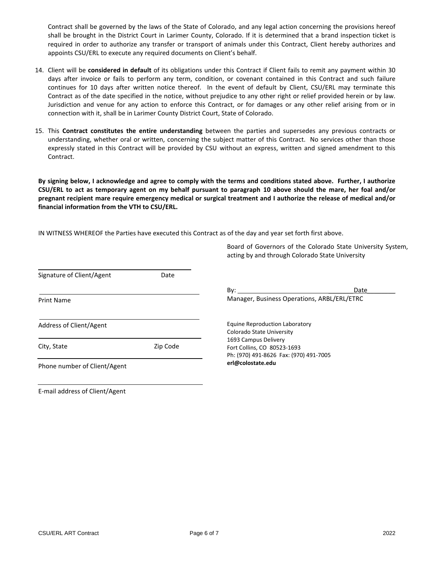Contract shall be governed by the laws of the State of Colorado, and any legal action concerning the provisions hereof shall be brought in the District Court in Larimer County, Colorado. If it is determined that a brand inspection ticket is required in order to authorize any transfer or transport of animals under this Contract, Client hereby authorizes and appoints CSU/ERL to execute any required documents on Client's behalf.

- 14. Client will be **considered in default** of its obligations under this Contract if Client fails to remit any payment within 30 days after invoice or fails to perform any term, condition, or covenant contained in this Contract and such failure continues for 10 days after written notice thereof. In the event of default by Client, CSU/ERL may terminate this Contract as of the date specified in the notice, without prejudice to any other right or relief provided herein or by law. Jurisdiction and venue for any action to enforce this Contract, or for damages or any other relief arising from or in connection with it, shall be in Larimer County District Court, State of Colorado.
- 15. This **Contract constitutes the entire understanding** between the parties and supersedes any previous contracts or understanding, whether oral or written, concerning the subject matter of this Contract. No services other than those expressly stated in this Contract will be provided by CSU without an express, written and signed amendment to this Contract.

**By signing below, I acknowledge and agree to comply with the terms and conditions stated above. Further, I authorize CSU/ERL to act as temporary agent on my behalf pursuant to paragraph 10 above should the mare, her foal and/or pregnant recipient mare require emergency medical or surgical treatment and I authorize the release of medical and/or financial information from the VTH to CSU/ERL.**

IN WITNESS WHEREOF the Parties have executed this Contract as of the day and year set forth first above.

|                              |          | Board of Governors of the Colorado State University System,<br>acting by and through Colorado State University |  |  |
|------------------------------|----------|----------------------------------------------------------------------------------------------------------------|--|--|
| Signature of Client/Agent    | Date     |                                                                                                                |  |  |
|                              |          | Date<br>$\mathsf{By:}$                                                                                         |  |  |
| <b>Print Name</b>            |          | Manager, Business Operations, ARBL/ERL/ETRC                                                                    |  |  |
| Address of Client/Agent      |          | Equine Reproduction Laboratory<br>Colorado State University                                                    |  |  |
| City, State                  | Zip Code | 1693 Campus Delivery<br>Fort Collins, CO 80523-1693<br>Ph: (970) 491-8626 Fax: (970) 491-7005                  |  |  |
| Phone number of Client/Agent |          | erl@colostate.edu                                                                                              |  |  |
|                              |          |                                                                                                                |  |  |

Board of Governors of the Colorado State University System,

E-mail address of Client/Agent